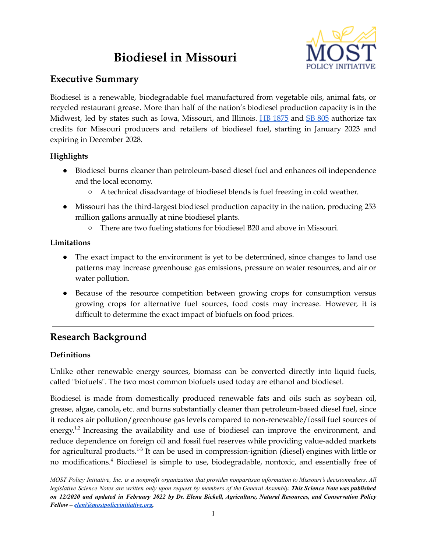# **Biodiesel in Missouri**



# **Executive Summary**

Biodiesel is a renewable, biodegradable fuel manufactured from vegetable oils, animal fats, or recycled restaurant grease. More than half of the nation's biodiesel production capacity is in the Midwest, led by states such as Iowa, Missouri, and Illinois. HB [1875](https://house.mo.gov/Bill.aspx?bill=HB1875&year=2022&code=R) and SB [805](https://www.senate.mo.gov/22info/BTS_Web/Bill.aspx?SessionType=R&BillID=71259801) authorize tax credits for Missouri producers and retailers of biodiesel fuel, starting in January 2023 and expiring in December 2028.

# **Highlights**

- Biodiesel burns cleaner than petroleum-based diesel fuel and enhances oil independence and the local economy.
	- A technical disadvantage of biodiesel blends is fuel freezing in cold weather.
- Missouri has the third-largest biodiesel production capacity in the nation, producing 253 million gallons annually at nine biodiesel plants.
	- There are two fueling stations for biodiesel B20 and above in Missouri.

# **Limitations**

- The exact impact to the environment is yet to be determined, since changes to land use patterns may increase greenhouse gas emissions, pressure on water resources, and air or water pollution.
- Because of the resource competition between growing crops for consumption versus growing crops for alternative fuel sources, food costs may increase. However, it is difficult to determine the exact impact of biofuels on food prices.

# **Research Background**

# **Definitions**

Unlike other renewable energy sources, biomass can be converted directly into liquid fuels, called "biofuels". The two most common biofuels used today are ethanol and biodiesel.

Biodiesel is made from domestically produced renewable fats and oils such as soybean oil, grease, algae, canola, etc. and burns substantially cleaner than petroleum-based diesel fuel, since it reduces air pollution/greenhouse gas levels compared to non-renewable/fossil fuel sources of energy.<sup>1,2</sup> Increasing the availability and use of biodiesel can improve the environment, and reduce dependence on foreign oil and fossil fuel reserves while providing value-added markets for agricultural products.<sup>1-3</sup> It can be used in compression-ignition (diesel) engines with little or no modifications. <sup>4</sup> Biodiesel is simple to use, biodegradable, nontoxic, and essentially free of

MOST Policy Initiative, Inc. is a nonprofit organization that provides nonpartisan information to Missouri's decisionmakers. All legislative Science Notes are written only upon request by members of the General Assembly. This Science Note was published on 12/2020 and updated in February 2022 by Dr. Elena Bickell, Agriculture, Natural Resources, and Conservation Policy *Fellow – [eleni@mostpolicyinitiative.org.](mailto:eleni@mostpolicyinitiative.org)*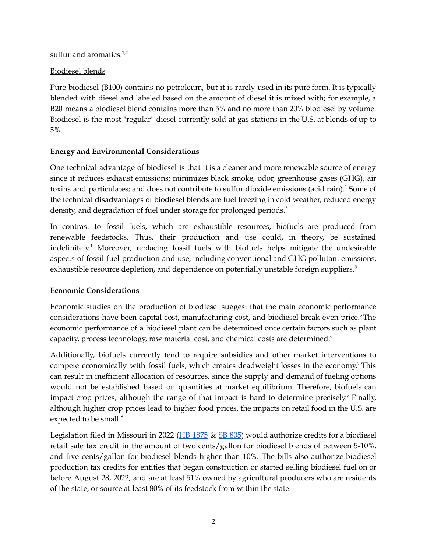sulfur and aromatics.<sup>1,2</sup>

#### Biodiesel blends

Pure biodiesel (B100) contains no petroleum, but it is rarely used in its pure form. It is typically blended with diesel and labeled based on the amount of diesel it is mixed with; for example, a B20 means a biodiesel blend contains more than 5% and no more than 20% biodiesel by volume. Biodiesel is the most "regular" diesel currently sold at gas stations in the U.S. at blends of up to 5%.

## **Energy and Environmental Considerations**

One technical advantage of biodiesel is that it is a cleaner and more renewable source of energy since it reduces exhaust emissions; minimizes black smoke, odor, greenhouse gases (GHG), air toxins and particulates; and does not contribute to sulfur dioxide emissions (acid rain). <sup>1</sup> Some of the technical disadvantages of biodiesel blends are fuel freezing in cold weather, reduced energy density, and degradation of fuel under storage for prolonged periods.<sup>5</sup>

In contrast to fossil fuels, which are exhaustible resources, biofuels are produced from renewable feedstocks. Thus, their production and use could, in theory, be sustained indefinitely. <sup>1</sup> Moreover, replacing fossil fuels with biofuels helps mitigate the undesirable aspects of fossil fuel production and use, including conventional and GHG pollutant emissions, exhaustible resource depletion, and dependence on potentially unstable foreign suppliers. 5

## **Economic Considerations**

Economic studies on the production of biodiesel suggest that the main economic performance considerations have been capital cost, manufacturing cost, and biodiesel break-even price. <sup>5</sup>The economic performance of a biodiesel plant can be determined once certain factors such as plant capacity, process technology, raw material cost, and chemical costs are determined. 6

Additionally, biofuels currently tend to require subsidies and other market interventions to compete economically with fossil fuels, which creates deadweight losses in the economy.<sup>7</sup> This can result in inefficient allocation of resources, since the supply and demand of fueling options would not be established based on quantities at market equilibrium. Therefore, biofuels can impact crop prices, although the range of that impact is hard to determine precisely.<sup>7</sup> Finally, although higher crop prices lead to higher food prices, the impacts on retail food in the U.S. are expected to be small.<sup>8</sup>

Legislation filed in Missouri in 2022 ( $\overline{HB}$  [1875](https://house.mo.gov/Bill.aspx?bill=HB1875&year=2022&code=R) &  $\overline{SB}$  [805](https://www.senate.mo.gov/22info/BTS_Web/Bill.aspx?SessionType=R&BillID=71259801)) would authorize credits for a biodiesel retail sale tax credit in the amount of two cents/gallon for biodiesel blends of between 5-10%, and five cents/gallon for biodiesel blends higher than 10%. The bills also authorize biodiesel production tax credits for entities that began construction or started selling biodiesel fuel on or before August 28, 2022, and are at least 51% owned by agricultural producers who are residents of the state, or source at least 80% of its feedstock from within the state.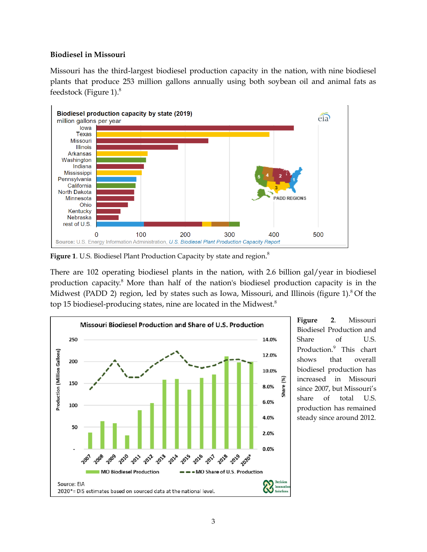#### **Biodiesel in Missouri**

Missouri has the third-largest biodiesel production capacity in the nation, with nine biodiesel plants that produce 253 million gallons annually using both soybean oil and animal fats as feedstock (Figure 1). 8



**Figure 1**. U.S. Biodiesel Plant Production Capacity by state and region. 8

There are 102 operating biodiesel plants in the nation, with 2.6 billion gal/year in biodiesel production capacity. <sup>8</sup> More than half of the nation's biodiesel production capacity is in the Midwest (PADD 2) region, led by states such as Iowa, Missouri, and Illinois (figure 1).<sup>8</sup> Of the top 15 biodiesel-producing states, nine are located in the Midwest.<sup>8</sup>



**Figure 2**. Missouri Biodiesel Production and Share of U.S. Production. <sup>9</sup> This chart shows that overall biodiesel production has increased in Missouri since 2007, but Missouri's share of total U.S. production has remained steady since around 2012.